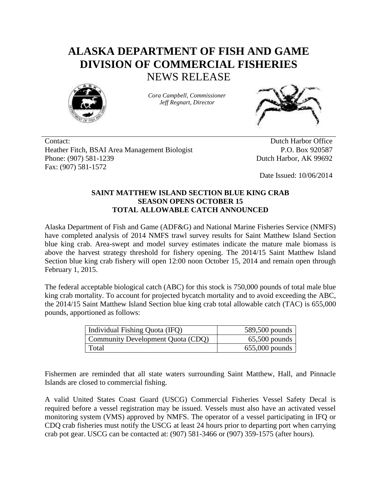## **ALASKA DEPARTMENT OF FISH AND GAME DIVISION OF COMMERCIAL FISHERIES** NEWS RELEASE



*Cora Campbell, Commissioner Jeff Regnart, Director*



Contact: Dutch Harbor Office Heather Fitch, BSAI Area Management Biologist Phone: (907) 581-1239 Fax: (907) 581-1572

P.O. Box 920587 Dutch Harbor, AK 99692

Date Issued: 10/06/2014

## **SAINT MATTHEW ISLAND SECTION BLUE KING CRAB SEASON OPENS OCTOBER 15 TOTAL ALLOWABLE CATCH ANNOUNCED**

Alaska Department of Fish and Game (ADF&G) and National Marine Fisheries Service (NMFS) have completed analysis of 2014 NMFS trawl survey results for Saint Matthew Island Section blue king crab. Area-swept and model survey estimates indicate the mature male biomass is above the harvest strategy threshold for fishery opening. The 2014/15 Saint Matthew Island Section blue king crab fishery will open 12:00 noon October 15, 2014 and remain open through February 1, 2015.

The federal acceptable biological catch (ABC) for this stock is 750,000 pounds of total male blue king crab mortality. To account for projected bycatch mortality and to avoid exceeding the ABC, the 2014/15 Saint Matthew Island Section blue king crab total allowable catch (TAC) is 655,000 pounds, apportioned as follows:

| Individual Fishing Quota (IFQ)    | 589,500 pounds   |
|-----------------------------------|------------------|
| Community Development Quota (CDQ) | $65,500$ pounds  |
| Total                             | $655,000$ pounds |

Fishermen are reminded that all state waters surrounding Saint Matthew, Hall, and Pinnacle Islands are closed to commercial fishing.

A valid United States Coast Guard (USCG) Commercial Fisheries Vessel Safety Decal is required before a vessel registration may be issued. Vessels must also have an activated vessel monitoring system (VMS) approved by NMFS. The operator of a vessel participating in IFQ or CDQ crab fisheries must notify the USCG at least 24 hours prior to departing port when carrying crab pot gear. USCG can be contacted at: (907) 581-3466 or (907) 359-1575 (after hours).